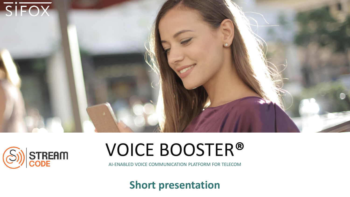



# VOICE BOOSTER**®️**

AI-ENABLED VOICE COMMUNICATION PLATFORM FOR TELECOM

**Short presentation**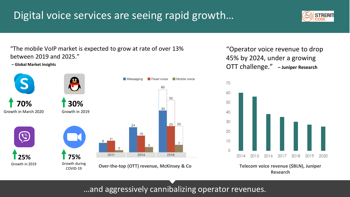## Digital voice services are seeing rapid growth…



"The mobile VoIP market is expected to grow at rate of over 13% between 2019 and 2025."

**30%**

**75%**

**– Global Market Insights**





COVID-19 **Over-the-top (OTT) revenue, McKinsey & Co**

"Operator voice revenue to drop 45% by 2024, under a growing OTT challenge." **– Juniper Research**



**Telecom voice revenue (\$BLN), Juniper Research**

…and aggressively cannibalizing operator revenues.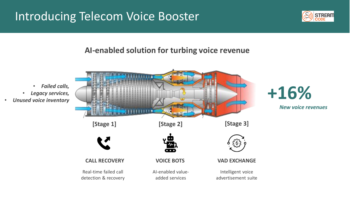## Introducing Telecom Voice Booster



#### **AI-enabled solution for turbing voice revenue**



- *Legacy services,*
- *Unused voice inventory*

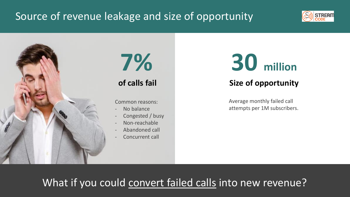### Source of revenue leakage and size of opportunity







#### **of calls fail**

Common reasons:

- No balance
- Congested / busy
- Non-reachable
- Abandoned call
- Concurrent call



#### **Size of opportunity**

Average monthly failed call attempts per 1M subscribers.

## What if you could convert failed calls into new revenue?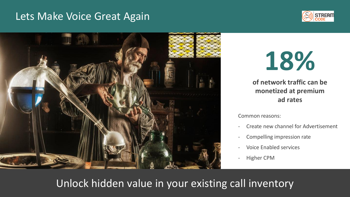#### Lets Make Voice Great Again





**18%**

**of network traffic can be monetized at premium ad rates**

Common reasons:

- Create new channel for Advertisement
- Compelling impression rate
- Voice Enabled services
- Higher CPM

Unlock hidden value in your existing call inventory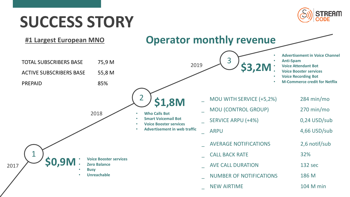## **SUCCESS STORY**



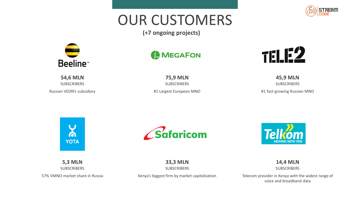## **STREAM**

## OUR CUSTOMERS

**(+7 ongoing projects)**



#### **MEGAFON**



**54,6 MLN SUBSCRIBERS** Russian VEON's subsidiary

**75,9 MLN** SUBSCRIBERS #1 Largest European MNO

**45,9 MLN** SUBSCRIBERS

#1 fast-growing Russian MNO

 $\mathbf{x}$ **YOTA** 





**5,3 MLN SUBSCRIBERS** 

57% VMNO market share in Russia

**33,3 MLN SUBSCRIBERS** 

Kenya's biggest firm by market capitalization

**14,4 MLN SUBSCRIBERS** 

Telecom provider in Kenya with the widest range of voice and broadband data